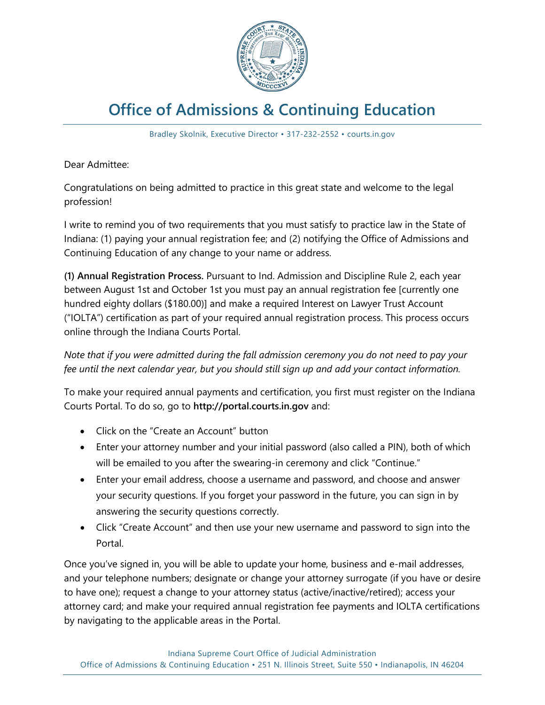

## **Office of Admissions & Continuing Education**

Bradley Skolnik, Executive Director • 317-232-2552 • courts.in.gov

Dear Admittee:

Congratulations on being admitted to practice in this great state and welcome to the legal profession!

I write to remind you of two requirements that you must satisfy to practice law in the State of Indiana: (1) paying your annual registration fee; and (2) notifying the Office of Admissions and Continuing Education of any change to your name or address.

**(1) Annual Registration Process.** Pursuant to Ind. Admission and Discipline Rule 2, each year between August 1st and October 1st you must pay an annual registration fee [currently one hundred eighty dollars (\$180.00)] and make a required Interest on Lawyer Trust Account ("IOLTA") certification as part of your required annual registration process. This process occurs online through the Indiana Courts Portal.

*Note that if you were admitted during the fall admission ceremony you do not need to pay your fee until the next calendar year, but you should still sign up and add your contact information.*

To make your required annual payments and certification, you first must register on the Indiana Courts Portal. To do so, go to **http://portal.courts.in.gov** and:

- Click on the "Create an Account" button
- Enter your attorney number and your initial password (also called a PIN), both of which will be emailed to you after the swearing-in ceremony and click "Continue."
- Enter your email address, choose a username and password, and choose and answer your security questions. If you forget your password in the future, you can sign in by answering the security questions correctly.
- Click "Create Account" and then use your new username and password to sign into the Portal.

Once you've signed in, you will be able to update your home, business and e-mail addresses, and your telephone numbers; designate or change your attorney surrogate (if you have or desire to have one); request a change to your attorney status (active/inactive/retired); access your attorney card; and make your required annual registration fee payments and IOLTA certifications by navigating to the applicable areas in the Portal.